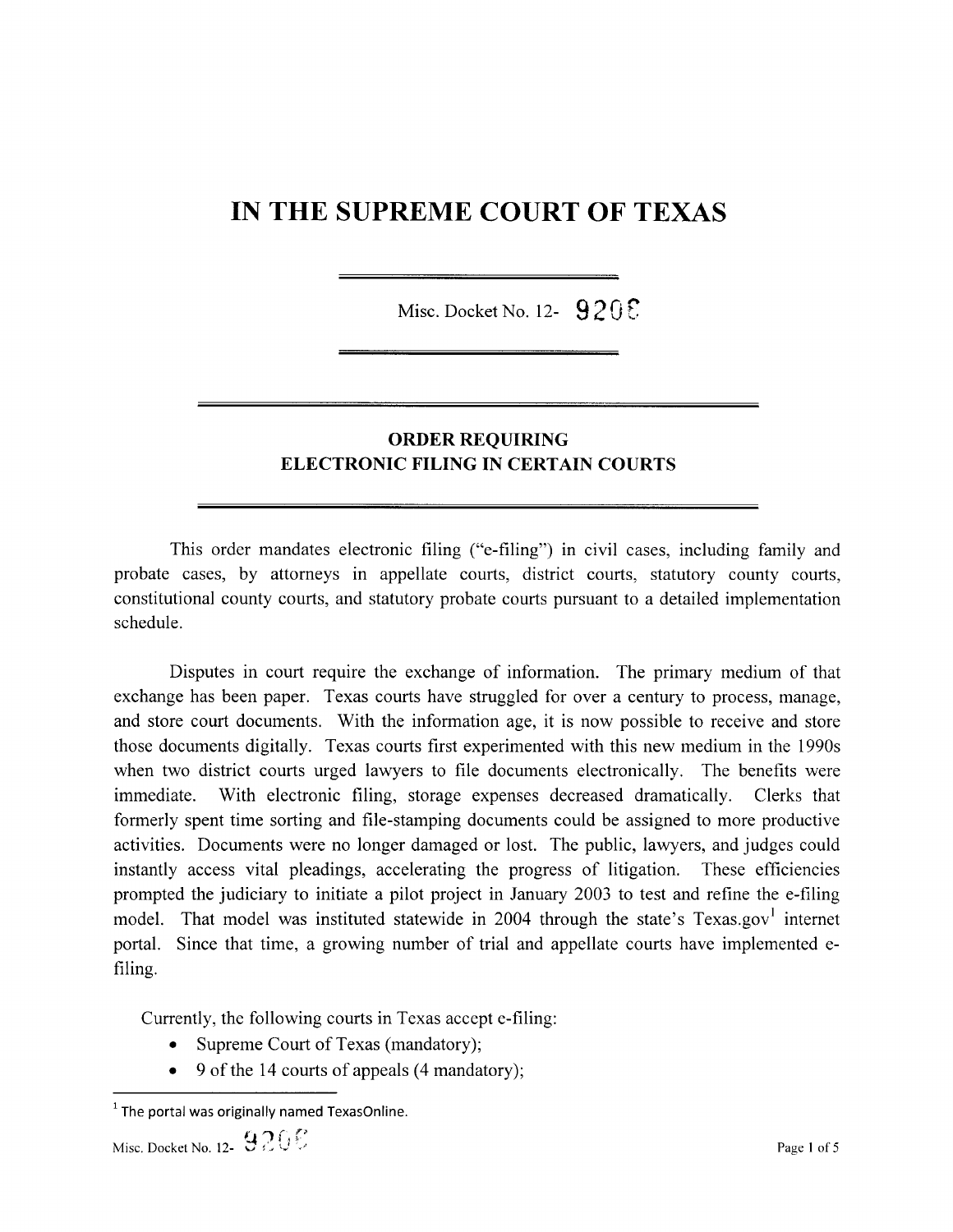## IN THE SUPREME COURT OF TEXAS

Misc. Docket No. 12-  $9205$ 

## ORDER REQUIRING ELECTRONIC FILING IN CERTAIN COURTS

This order mandates electronic filing ("e-filing") in civil cases, including family and probate cases, by attorneys in appellate courts, district courts, statutory county courts, constitutional county courts, and statutory probate courts pursuant to detailed implementation schedule.

Disputes in court require the exchange of information. The primary medium of that exchange has been paper. Texas courts have struggled for over a century to process, manage, and store court documents. With the information age, it is now possible to receive and store those documents digitally. Texas courts first experimented with this new medium in the 1990s when two district courts urged lawyers to file documents electronically. The benefits were immediate. With electronic filing, storage expenses decreased dramatically. Clerks that formerly spent time sorting and file-stamping documents could be assigned to more productive activities. Documents were no longer damaged or lost. The public, lawyers, and judges could instantly access vital pleadings, accelerating the progress of litigation. These efficiencies prompted the judiciary to initiate a pilot project in January 2003 to test and refine the e-filing model. That model was instituted statewide in 2004 through the state's  $T$ exas.gov<sup>1</sup> internet portal. Since that time, a growing number of trial and appellate courts have implemented efiling.

Currently, the following courts in Texas accept e-filing:

- Supreme Court of Texas (mandatory);
- $\bullet$  9 of the 14 courts of appeals (4 mandatory);

 $1$  The portal was originally named TexasOnline.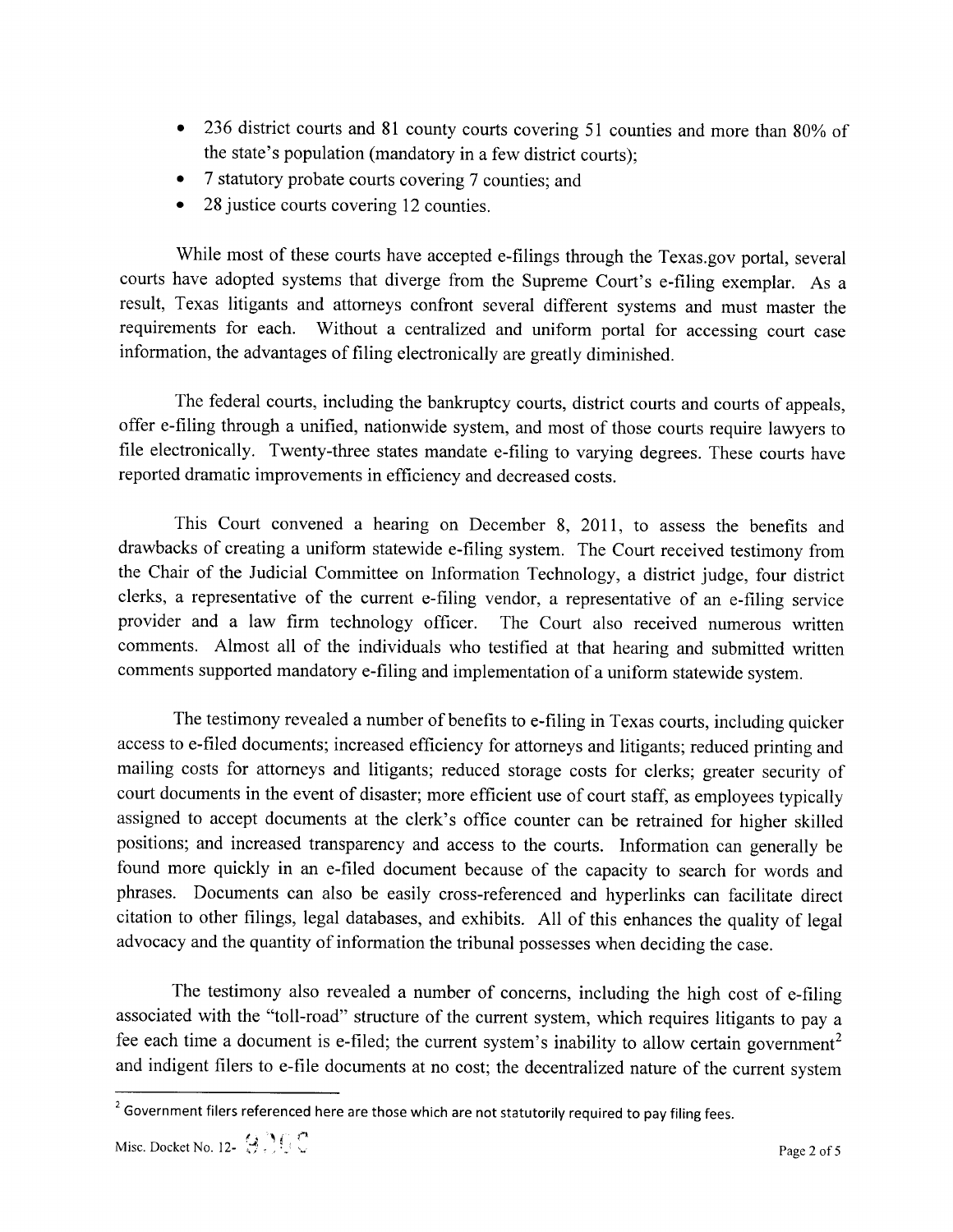- 236 district courts and 81 county courts covering 51 counties and more than 80% of the state's population (mandatory in a few district courts);
- 7 statutory probate courts covering 7 counties; and
- 28 justice courts covering 12 counties.

While most of these courts have accepted e-filings through the Texas.gov portal, several courts have adopted systems that diverge from the Supreme Court's e-filing exemplar. As a result, Texas litigants and attorneys confront several different systems and must master the requirements for each. Without a centralized and uniform portal for accessing court case information, the advantages of filing electronically are greatly diminished.

The federal courts, including the bankruptcy courts, district courts and courts of appeals, offer e-filing through a unified, nationwide system, and most of those courts require lawyers to file electronically. Twenty-three states mandate e-filing to varying degrees. These courts have reported dramatic improvements in efficiency and decreased costs.

This Court convened a hearing on December 8, 2011, to assess the benefits and drawbacks of creating a uniform statewide e-filing system. The Court received testimony from the Chair of the Judicial Committee on Information Technology, a district judge, four district clerks, a representative of the current e-filing vendor, a representative of an e-filing service provider and a law firm technology officer. The Court also received numerous written comments. Almost all of the individuals who testified at that hearing and submitted written comments supported mandatory e-filing and implementation of a uniform statewide system.

The testimony revealed a number of benefits to e-filing in Texas courts, including quicker access to e-filed documents; increased efficiency for attorneys and litigants; reduced printing and mailing costs for attorneys and litigants; reduced storage costs for clerks; greater security of court documents in the event of disaster; more efficient use of court staff, as employees typically assigned to accept documents at the clerk's office counter can be retrained for higher skilled positions; and increased transparency and access to the courts. Information can generally be found more quickly in an e-filed document because of the capacity to search for words and phrases. Documents can also be easily cross-referenced and hyperlinks can facilitate direct citation to other filings, legal databases, and exhibits. All of this enhances the quality of legal advocacy and the quantity of information the tribunal possesses when deciding the case.

The testimony also revealed a number of concerns, including the high cost of e-filing associated with the "toll-road" structure of the current system, which requires litigants to pay a ree each time a document is e-filed; the current system's inability to allow certain government and indigent filers to e-file documents at no cost; the decentralized nature of the current system

 $2$  Government filers referenced here are those which are not statutorily required to pay filing fees.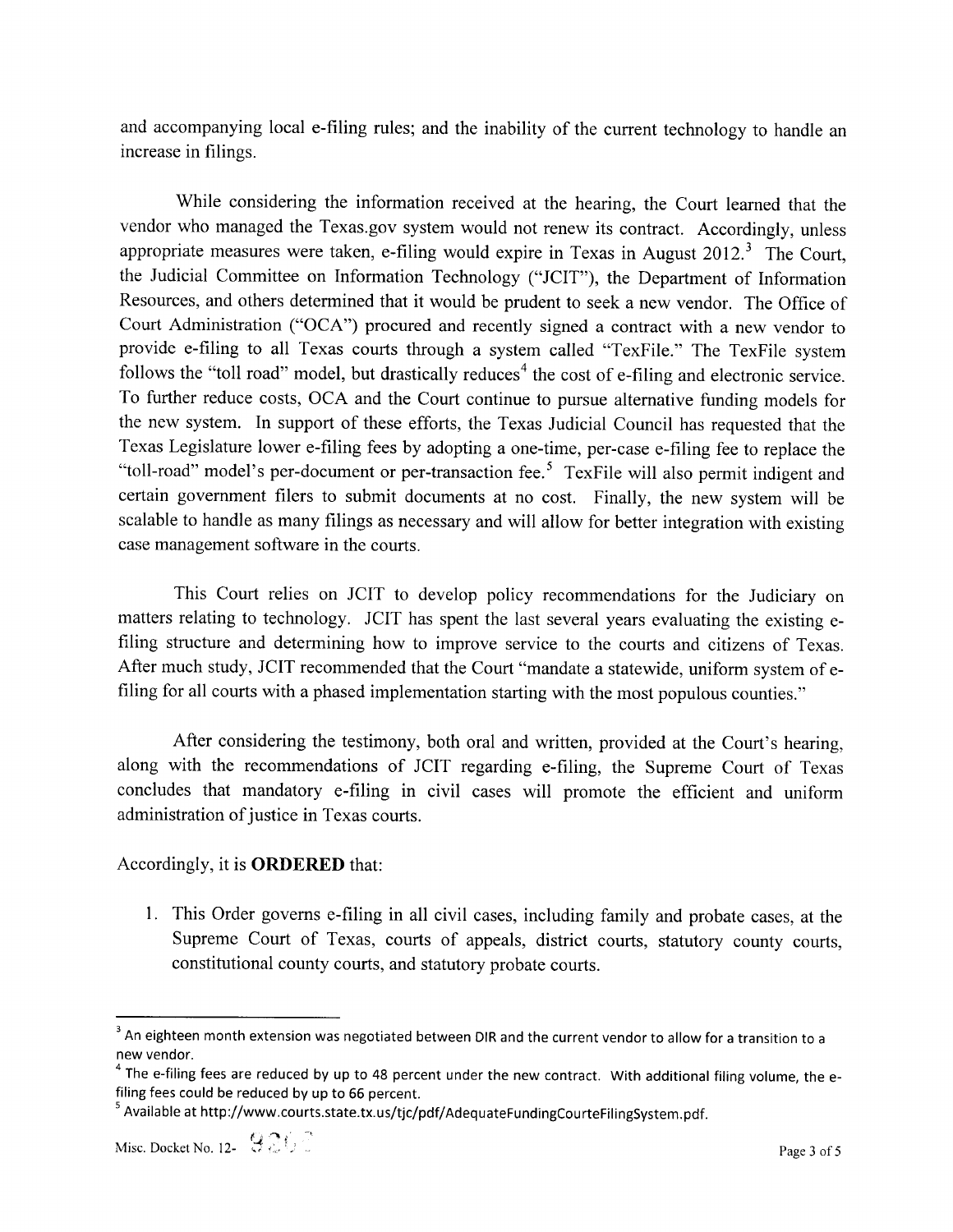and accompanying local e-filing rules; and the inability of the current technology to handle an increase in filings.

While considering the information received at the hearing, the Court learned that the vendor who managed the Texas.gov system would not renew its contract. Accordingly, unless appropriate measures were taken, e-filing would expire in Texas in August  $2012<sup>3</sup>$ . The Court, the Judicial Committee on Information Technology ("JCIT"), the Department of Information Resources, and others determined that it would be prudent to seek a new vendor. The Office of Court Administration ("OCA") procured and recently signed a contract with a new vendor to provide e-filing to all Texas courts through a system called "TexFile." The TexFile system follows the "toll road" model, but drastically reduces<sup>4</sup> the cost of e-filing and electronic service. To further reduce costs, OCA and the Court continue to pursue alternative funding models for the new system. In support of these efforts, the Texas Judicial Council has requested that the Texas Legislature lower e-filing fees by adopting a one-time, per-case e-filing fee to replace the "toll-road" model's per-document or per-transaction fee.<sup>5</sup> TexFile will also permit indigent and certain government filers to submit documents at no cost. Finally, the new system will be scalable to handle as many filings as necessary and will allow for better integration with existing case management software in the courts.

This Court relies on JCIT to develop policy recommendations for the Judiciary on matters relating to technology. JCIT has spent the last several years evaluating the existing efiling structure and determining how to improve service to the courts and citizens of Texas. After much study, JCIT recommended that the Court "mandate a statewide, uniform system of efiling for all courts with a phased implementation starting with the most populous counties."

After considering the testimony, both oral and written, provided at the Court's hearing, along with the recommendations of JCIT regarding e-filing, the Supreme Court of Texas concludes that mandatory e-filing in civil cases will promote the efficient and uniform administration of justice in Texas courts.

## Accordingly, it is ORDERED that:

1. This Order governs e-filing in all civil cases, including family and probate cases, at the Supreme Court of Texas, courts of appeals, district courts, statutory county courts, constitutional county courts, and statutory probate courts.

<sup>&</sup>lt;sup>3</sup> An eighteen month extension was negotiated between DIR and the current vendor to allow for a transition to a new vendor.

 $4$  The e-filing fees are reduced by up to 48 percent under the new contract. With additional filing volume, the efiling fees could be reduced by up to 66 percent.

<sup>&</sup>lt;sup>5</sup> Available at http://www.courts.state.tx.us/tjc/pdf/AdequateFundingCourteFilingSystem.pdf.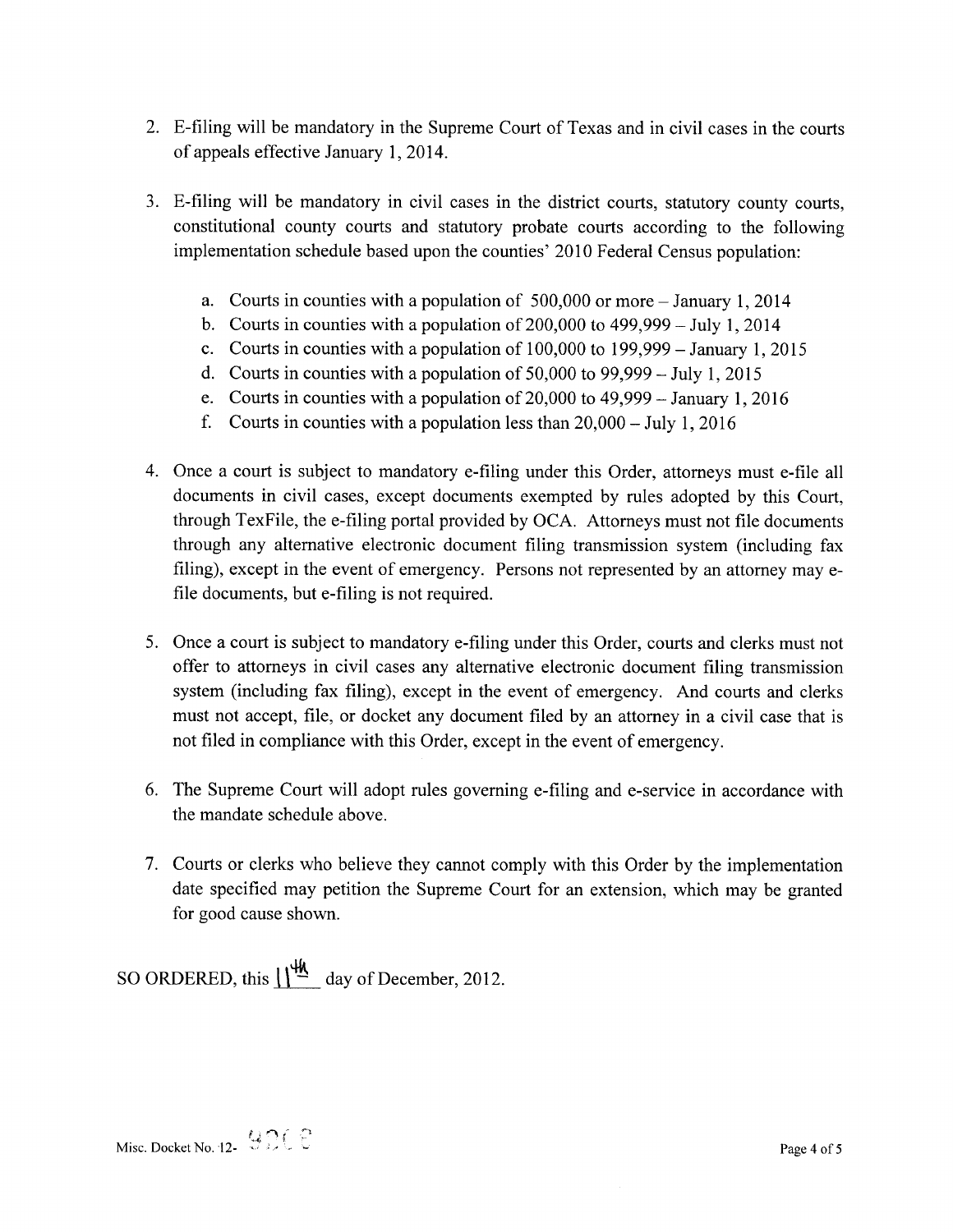- 2. E-filing will be mandatory in the Supreme Court of Texas and in civil cases in the courts of appeals effective January 1, 2014.
- 3. E-filing will be mandatory in civil cases in the district courts, statutory county courts, constitutional county courts and statutory probate courts according to the following implementation schedule based upon the counties' 2010 Federal Census population:
	- a. Courts in counties with a population of  $500,000$  or more  $-$  January 1, 2014
	- b. Courts in counties with a population of  $200,000$  to  $499,999 \text{July } 1,2014$
	- c. Courts in counties with a population of  $100,000$  to  $199,999 -$  January 1, 2015
	- d. Courts in counties with a population of  $50,000$  to  $99,999 \text{July } 1,2015$
	- e. Courts in counties with a population of  $20,000$  to  $49,999 -$  January 1, 2016
	- f. Courts in counties with a population less than  $20,000 \text{July } 1, 2016$
- 4. Once a court is subject to mandatory e-filing under this Order, attorneys must e-file all documents in civil cases, except documents exempted by rules adopted by this Court, through TexFile, the e-filing portal provided by OCA. Attorneys must not file documents through any alternative electronic document filing transmission system (including fax filing), except in the event of emergency. Persons not represented by an attorney may efile documents, but e-filing is not required.
- 5. Once a court is subject to mandatory e-filing under this Order, courts and clerks must not offer to attorneys in civil cases any alternative electronic document filing transmission system (including fax filing), except in the event of emergency. And courts and clerks must not accept, file, or docket any document filed by an attorney in a civil case that is not filed in compliance with this Order, except in the event of emergency.
- 6. The Supreme Court will adopt rules governing e-filing and e-service in accordance with the mandate schedule above.
- 7. Courts or clerks who believe they cannot comply with this Order by the implementation date specified may petition the Supreme Court for an extension, which may be granted for good cause shown.

SO ORDERED, this  $\frac{\sqrt{4A}}{4}$  day of December, 2012.